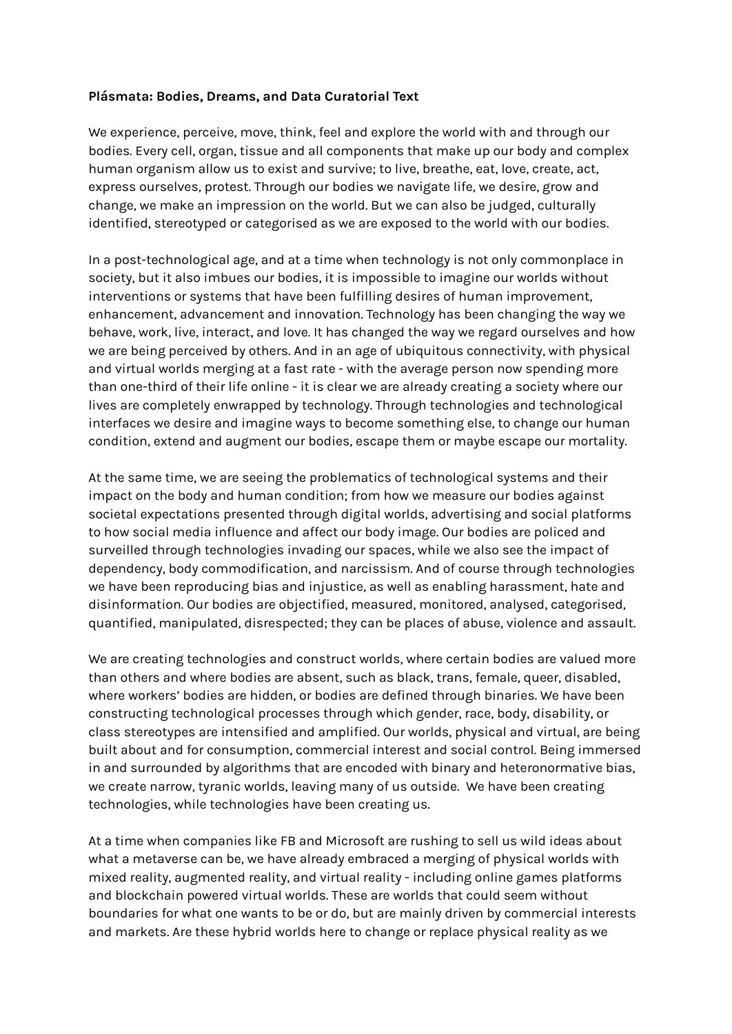## **Plásmata: Bodies, Dreams, and Data Curatorial Text**

We experience, perceive, move, think, feel and explore the world with and through our bodies. Every cell, organ, tissue and all components that make up our body and complex human organism allow us to exist and survive; to live, breathe, eat, love, create, act, express ourselves, protest. Through our bodies we navigate life, we desire, grow and change, we make an impression on the world. But we can also be judged, culturally identified, stereotyped or categorised as we are exposed to the world with our bodies.

In a post-technological age, and at a time when technology is not only commonplace in society, but it also imbues our bodies, it is impossible to imagine our worlds without interventions or systems that have been fulfilling desires of human improvement, enhancement, advancement and innovation. Technology has been changing the way we behave, work, live, interact, and love. It has changed the way we regard ourselves and how we are being perceived by others. And in an age of ubiquitous connectivity, with physical and virtual worlds merging at a fast rate - with the average person now spending more than one-third of their life online - it is clear we are already creating a society where our lives are completely enwrapped by technology. Through technologies and technological interfaces we desire and imagine ways to become something else, to change our human condition, extend and augment our bodies, escape them or maybe escape our mortality.

At the same time, we are seeing the problematics of technological systems and their impact on the body and human condition; from how we measure our bodies against societal expectations presented through digital worlds, advertising and social platforms to how social media influence and affect our body image. Our bodies are policed and surveilled through technologies invading our spaces, while we also see the impact of dependency, body commodification, and narcissism. And of course through technologies we have been reproducing bias and injustice, as well as enabling harassment, hate and disinformation. Our bodies are objectified, measured, monitored, analysed, categorised, quantified, manipulated, disrespected; they can be places of abuse, violence and assault.

We are creating technologies and construct worlds, where certain bodies are valued more than others and where bodies are absent, such as black, trans, female, queer, disabled, where workers' bodies are hidden, or bodies are defined through binaries. We have been constructing technological processes through which gender, race, body, disability, or class stereotypes are intensified and amplified. Our worlds, physical and virtual, are being built about and for consumption, commercial interest and social control. Being immersed in and surrounded by algorithms that are encoded with binary and heteronormative bias, we create narrow, tyranic worlds, leaving many of us outside. We have been creating technologies, while technologies have been creating us.

At a time when companies like FB and Microsoft are rushing to sell us wild ideas about what a metaverse can be, we have already embraced a merging of physical worlds with mixed reality, augmented reality, and virtual reality - including online games platforms and blockchain powered virtual worlds. These are worlds that could seem without boundaries for what one wants to be or do, but are mainly driven by commercial interests and markets. Are these hybrid worlds here to change or replace physical reality as we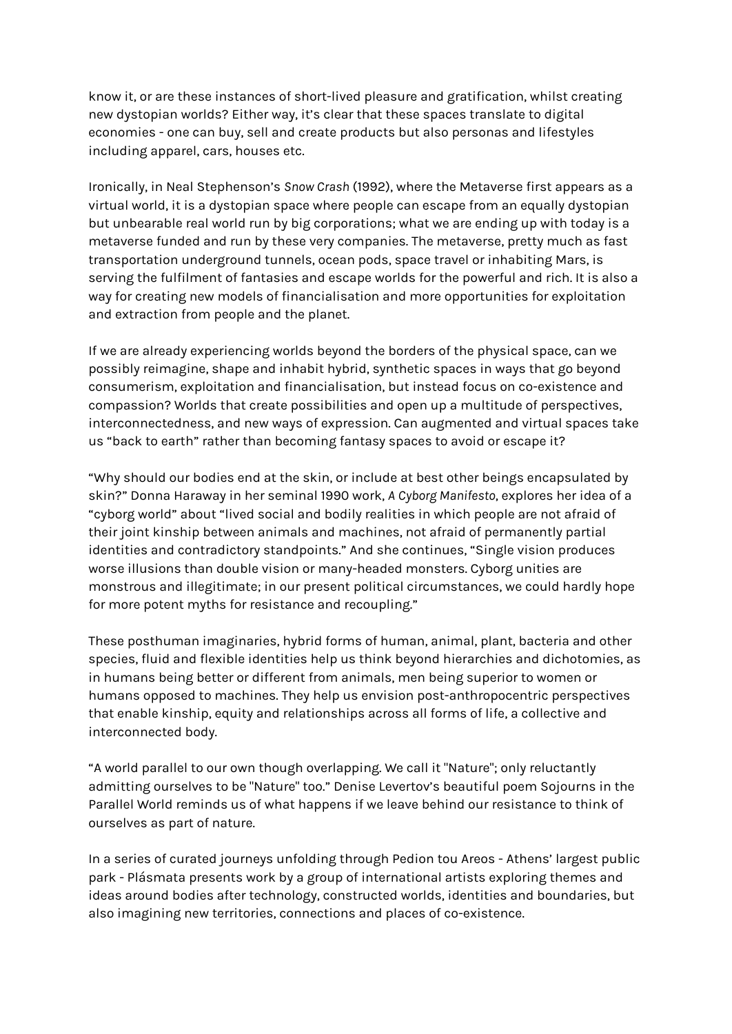know it, or are these instances of short-lived pleasure and gratification, whilst creating new dystopian worlds? Either way, it's clear that these spaces translate to digital economies - one can buy, sell and create products but also personas and lifestyles including apparel, cars, houses etc.

Ironically, in Neal Stephenson's *Snow Crash* (1992), where the Metaverse first appears as a virtual world, it is a dystopian space where people can escape from an equally dystopian but unbearable real world run by big corporations; what we are ending up with today is a metaverse funded and run by these very companies. The metaverse, pretty much as fast transportation underground tunnels, ocean pods, space travel or inhabiting Mars, is serving the fulfilment of fantasies and escape worlds for the powerful and rich. It is also a way for creating new models of financialisation and more opportunities for exploitation and extraction from people and the planet.

If we are already experiencing worlds beyond the borders of the physical space, can we possibly reimagine, shape and inhabit hybrid, synthetic spaces in ways that go beyond consumerism, exploitation and financialisation, but instead focus on co-existence and compassion? Worlds that create possibilities and open up a multitude of perspectives, interconnectedness, and new ways of expression. Can augmented and virtual spaces take us "back to earth" rather than becoming fantasy spaces to avoid or escape it?

"Why should our bodies end at the skin, or include at best other beings encapsulated by skin?" Donna Haraway in her seminal 1990 work, *A Cyborg Manifesto*, explores her idea of a "cyborg world" about "lived social and bodily realities in which people are not afraid of their joint kinship between animals and machines, not afraid of permanently partial identities and contradictory standpoints." And she continues, "Single vision produces worse illusions than double vision or many-headed monsters. Cyborg unities are monstrous and illegitimate; in our present political circumstances, we could hardly hope for more potent myths for resistance and recoupling."

These posthuman imaginaries, hybrid forms of human, animal, plant, bacteria and other species, fluid and flexible identities help us think beyond hierarchies and dichotomies, as in humans being better or different from animals, men being superior to women or humans opposed to machines. They help us envision post-anthropocentric perspectives that enable kinship, equity and relationships across all forms of life, a collective and interconnected body.

"A world parallel to our own though overlapping. We call it "Nature"; only reluctantly admitting ourselves to be "Nature" too." Denise Levertov's beautiful poem Sojourns in the Parallel World reminds us of what happens if we leave behind our resistance to think of ourselves as part of nature.

In a series of curated journeys unfolding through Pedion tou Areos - Athens' largest public park - Plásmata presents work by a group of international artists exploring themes and ideas around bodies after technology, constructed worlds, identities and boundaries, but also imagining new territories, connections and places of co-existence.